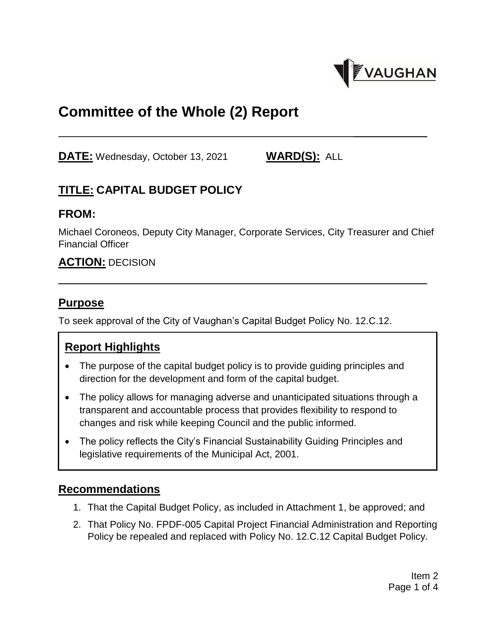

# **Committee of the Whole (2) Report**

**DATE:** Wednesday, October 13, 2021 **WARD(S):** ALL

# **TITLE: CAPITAL BUDGET POLICY**

#### **FROM:**

Michael Coroneos, Deputy City Manager, Corporate Services, City Treasurer and Chief Financial Officer

### **ACTION:** DECISION

### **Purpose**

To seek approval of the City of Vaughan's Capital Budget Policy No. 12.C.12.

## **Report Highlights**

- The purpose of the capital budget policy is to provide guiding principles and direction for the development and form of the capital budget.
- The policy allows for managing adverse and unanticipated situations through a transparent and accountable process that provides flexibility to respond to changes and risk while keeping Council and the public informed.
- The policy reflects the City's Financial Sustainability Guiding Principles and legislative requirements of the Municipal Act, 2001.

### **Recommendations**

- 1. That the Capital Budget Policy, as included in Attachment 1, be approved; and
- 2. That Policy No. FPDF-005 Capital Project Financial Administration and Reporting Policy be repealed and replaced with Policy No. 12.C.12 Capital Budget Policy.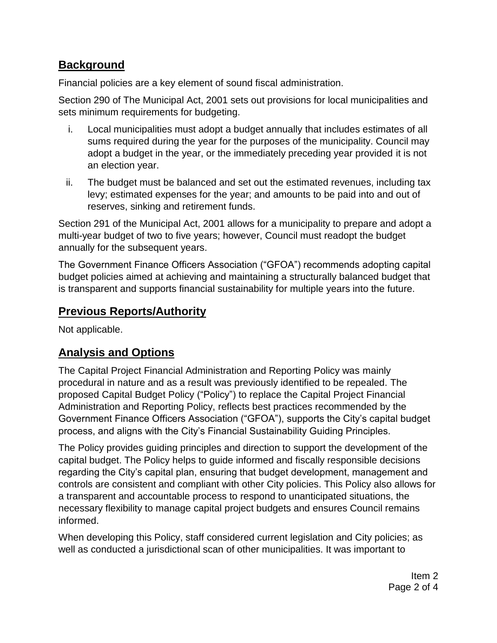## **Background**

Financial policies are a key element of sound fiscal administration.

Section 290 of The Municipal Act, 2001 sets out provisions for local municipalities and sets minimum requirements for budgeting.

- i. Local municipalities must adopt a budget annually that includes estimates of all sums required during the year for the purposes of the municipality. Council may adopt a budget in the year, or the immediately preceding year provided it is not an election year.
- ii. The budget must be balanced and set out the estimated revenues, including tax levy; estimated expenses for the year; and amounts to be paid into and out of reserves, sinking and retirement funds.

Section 291 of the Municipal Act, 2001 allows for a municipality to prepare and adopt a multi-year budget of two to five years; however, Council must readopt the budget annually for the subsequent years.

The Government Finance Officers Association ("GFOA") recommends adopting capital budget policies aimed at achieving and maintaining a structurally balanced budget that is transparent and supports financial sustainability for multiple years into the future.

# **Previous Reports/Authority**

Not applicable.

# **Analysis and Options**

The Capital Project Financial Administration and Reporting Policy was mainly procedural in nature and as a result was previously identified to be repealed. The proposed Capital Budget Policy ("Policy") to replace the Capital Project Financial Administration and Reporting Policy, reflects best practices recommended by the Government Finance Officers Association ("GFOA"), supports the City's capital budget process, and aligns with the City's Financial Sustainability Guiding Principles.

The Policy provides guiding principles and direction to support the development of the capital budget. The Policy helps to guide informed and fiscally responsible decisions regarding the City's capital plan, ensuring that budget development, management and controls are consistent and compliant with other City policies. This Policy also allows for a transparent and accountable process to respond to unanticipated situations, the necessary flexibility to manage capital project budgets and ensures Council remains informed.

When developing this Policy, staff considered current legislation and City policies; as well as conducted a jurisdictional scan of other municipalities. It was important to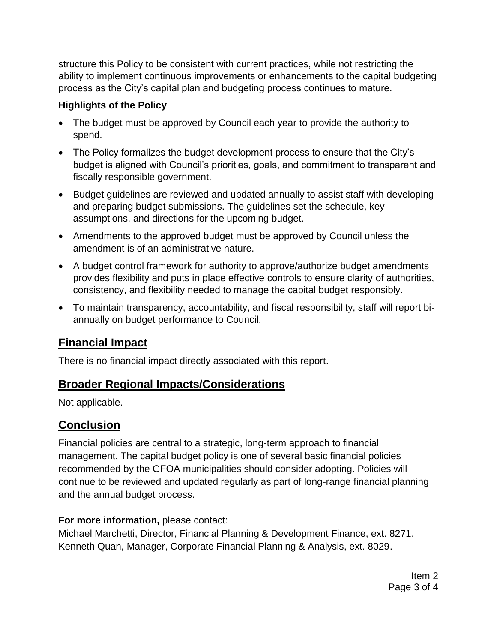structure this Policy to be consistent with current practices, while not restricting the ability to implement continuous improvements or enhancements to the capital budgeting process as the City's capital plan and budgeting process continues to mature.

#### **Highlights of the Policy**

- The budget must be approved by Council each year to provide the authority to spend.
- The Policy formalizes the budget development process to ensure that the City's budget is aligned with Council's priorities, goals, and commitment to transparent and fiscally responsible government.
- Budget guidelines are reviewed and updated annually to assist staff with developing and preparing budget submissions. The guidelines set the schedule, key assumptions, and directions for the upcoming budget.
- Amendments to the approved budget must be approved by Council unless the amendment is of an administrative nature.
- A budget control framework for authority to approve/authorize budget amendments provides flexibility and puts in place effective controls to ensure clarity of authorities, consistency, and flexibility needed to manage the capital budget responsibly.
- To maintain transparency, accountability, and fiscal responsibility, staff will report biannually on budget performance to Council.

# **Financial Impact**

There is no financial impact directly associated with this report.

## **Broader Regional Impacts/Considerations**

Not applicable.

# **Conclusion**

Financial policies are central to a strategic, long-term approach to financial management. The capital budget policy is one of several basic financial policies recommended by the GFOA municipalities should consider adopting. Policies will continue to be reviewed and updated regularly as part of long-range financial planning and the annual budget process.

#### **For more information,** please contact:

Michael Marchetti, Director, Financial Planning & Development Finance, ext. 8271. Kenneth Quan, Manager, Corporate Financial Planning & Analysis, ext. 8029.